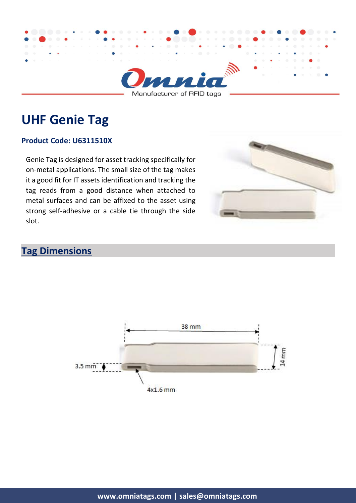

Manufacturer of RFID tags

# **UHF Genie Tag**

#### **Product Code: U6311510X**

Genie Tag is designed for asset tracking specifically for on-metal applications. The small size of the tag makes it a good fit for IT assets identification and tracking the tag reads from a good distance when attached to metal surfaces and can be affixed to the asset using strong self-adhesive or a cable tie through the side slot.



### **Tag Dimensions**

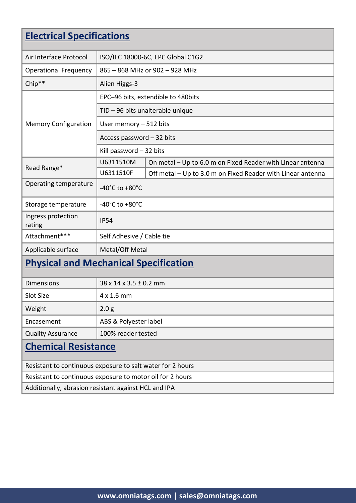| <b>Electrical Specifications</b>                           |                                      |                                                             |  |  |
|------------------------------------------------------------|--------------------------------------|-------------------------------------------------------------|--|--|
| Air Interface Protocol                                     |                                      | ISO/IEC 18000-6C, EPC Global C1G2                           |  |  |
| <b>Operational Frequency</b>                               | 865 - 868 MHz or 902 - 928 MHz       |                                                             |  |  |
| Chip**                                                     | Alien Higgs-3                        |                                                             |  |  |
| <b>Memory Configuration</b>                                |                                      |                                                             |  |  |
|                                                            | EPC-96 bits, extendible to 480bits   |                                                             |  |  |
|                                                            | TID - 96 bits unalterable unique     |                                                             |  |  |
|                                                            | User memory $-512$ bits              |                                                             |  |  |
|                                                            | Access password - 32 bits            |                                                             |  |  |
|                                                            | Kill password $-32$ bits             |                                                             |  |  |
|                                                            | U6311510M                            | On metal - Up to 6.0 m on Fixed Reader with Linear antenna  |  |  |
| Read Range*                                                | U6311510F                            | Off metal - Up to 3.0 m on Fixed Reader with Linear antenna |  |  |
| Operating temperature                                      | -40 $^{\circ}$ C to +80 $^{\circ}$ C |                                                             |  |  |
| Storage temperature                                        | -40 $^{\circ}$ C to +80 $^{\circ}$ C |                                                             |  |  |
| Ingress protection<br>rating                               | <b>IP54</b>                          |                                                             |  |  |
| Attachment***                                              | Self Adhesive / Cable tie            |                                                             |  |  |
| Applicable surface                                         | Metal/Off Metal                      |                                                             |  |  |
| <b>Physical and Mechanical Specification</b>               |                                      |                                                             |  |  |
| <b>Dimensions</b>                                          | $38 \times 14 \times 3.5 \pm 0.2$ mm |                                                             |  |  |
| Slot Size                                                  | 4 x 1.6 mm                           |                                                             |  |  |
| Weight                                                     | 2.0 <sub>g</sub>                     |                                                             |  |  |
| Encasement                                                 | ABS & Polyester label                |                                                             |  |  |
| <b>Quality Assurance</b>                                   | 100% reader tested                   |                                                             |  |  |
| <b>Chemical Resistance</b>                                 |                                      |                                                             |  |  |
| Resistant to continuous exposure to salt water for 2 hours |                                      |                                                             |  |  |
| Resistant to continuous exposure to motor oil for 2 hours  |                                      |                                                             |  |  |
| Additionally, abrasion resistant against HCL and IPA       |                                      |                                                             |  |  |